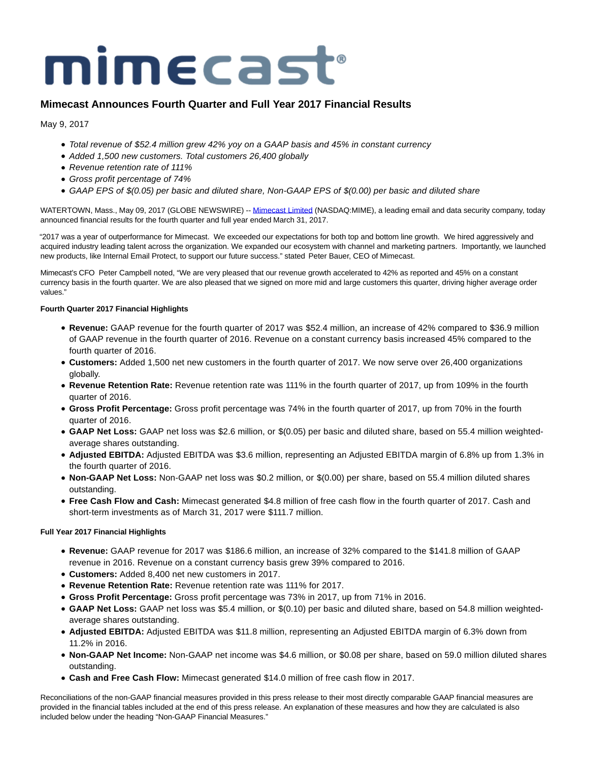# mimecast®

# **Mimecast Announces Fourth Quarter and Full Year 2017 Financial Results**

May 9, 2017

- Total revenue of \$52.4 million grew 42% yoy on a GAAP basis and 45% in constant currency
- Added 1,500 new customers. Total customers 26,400 globally
- Revenue retention rate of 111%
- Gross profit percentage of 74%
- GAAP EPS of \$(0.05) per basic and diluted share, Non-GAAP EPS of \$(0.00) per basic and diluted share

WATERTOWN, Mass., May 09, 2017 (GLOBE NEWSWIRE) -[- Mimecast Limited \(](https://www.globenewswire.com/Tracker?data=jOc0whOHU62GUCLip9TzEuH1k1rX_wxk4oQLQNWcLHMxfMss1HxgJ1tQ9o92zN4c9kSjscn-eWyEPaqleYPLAA==)NASDAQ:MIME), a leading email and data security company, today announced financial results for the fourth quarter and full year ended March 31, 2017.

"2017 was a year of outperformance for Mimecast. We exceeded our expectations for both top and bottom line growth. We hired aggressively and acquired industry leading talent across the organization. We expanded our ecosystem with channel and marketing partners. Importantly, we launched new products, like Internal Email Protect, to support our future success." stated Peter Bauer, CEO of Mimecast.

Mimecast's CFO Peter Campbell noted, "We are very pleased that our revenue growth accelerated to 42% as reported and 45% on a constant currency basis in the fourth quarter. We are also pleased that we signed on more mid and large customers this quarter, driving higher average order values."

# **Fourth Quarter 2017 Financial Highlights**

- **Revenue:** GAAP revenue for the fourth quarter of 2017 was \$52.4 million, an increase of 42% compared to \$36.9 million of GAAP revenue in the fourth quarter of 2016. Revenue on a constant currency basis increased 45% compared to the fourth quarter of 2016.
- **Customers:** Added 1,500 net new customers in the fourth quarter of 2017. We now serve over 26,400 organizations globally.
- **Revenue Retention Rate:** Revenue retention rate was 111% in the fourth quarter of 2017, up from 109% in the fourth quarter of 2016.
- **Gross Profit Percentage:** Gross profit percentage was 74% in the fourth quarter of 2017, up from 70% in the fourth quarter of 2016.
- **GAAP Net Loss:** GAAP net loss was \$2.6 million, or \$(0.05) per basic and diluted share, based on 55.4 million weightedaverage shares outstanding.
- **Adjusted EBITDA:** Adjusted EBITDA was \$3.6 million, representing an Adjusted EBITDA margin of 6.8% up from 1.3% in the fourth quarter of 2016.
- **Non-GAAP Net Loss:** Non-GAAP net loss was \$0.2 million, or \$(0.00) per share, based on 55.4 million diluted shares outstanding.
- **Free Cash Flow and Cash:** Mimecast generated \$4.8 million of free cash flow in the fourth quarter of 2017. Cash and short-term investments as of March 31, 2017 were \$111.7 million.

# **Full Year 2017 Financial Highlights**

- **Revenue:** GAAP revenue for 2017 was \$186.6 million, an increase of 32% compared to the \$141.8 million of GAAP revenue in 2016. Revenue on a constant currency basis grew 39% compared to 2016.
- **Customers:** Added 8,400 net new customers in 2017.
- **Revenue Retention Rate:** Revenue retention rate was 111% for 2017.
- **Gross Profit Percentage:** Gross profit percentage was 73% in 2017, up from 71% in 2016.
- **GAAP Net Loss:** GAAP net loss was \$5.4 million, or \$(0.10) per basic and diluted share, based on 54.8 million weightedaverage shares outstanding.
- **Adjusted EBITDA:** Adjusted EBITDA was \$11.8 million, representing an Adjusted EBITDA margin of 6.3% down from 11.2% in 2016.
- **Non-GAAP Net Income:** Non-GAAP net income was \$4.6 million, or \$0.08 per share, based on 59.0 million diluted shares outstanding.
- **Cash and Free Cash Flow:** Mimecast generated \$14.0 million of free cash flow in 2017.

Reconciliations of the non-GAAP financial measures provided in this press release to their most directly comparable GAAP financial measures are provided in the financial tables included at the end of this press release. An explanation of these measures and how they are calculated is also included below under the heading "Non-GAAP Financial Measures."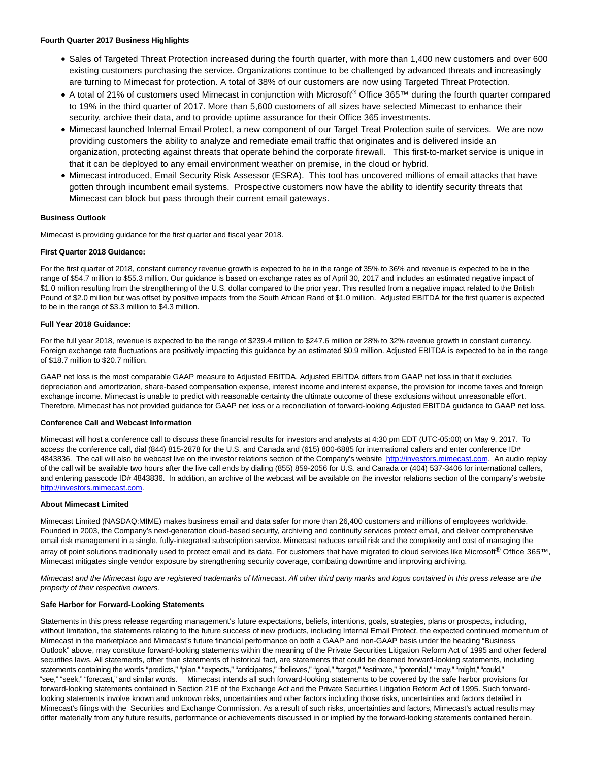#### **Fourth Quarter 2017 Business Highlights**

- Sales of Targeted Threat Protection increased during the fourth quarter, with more than 1,400 new customers and over 600 existing customers purchasing the service. Organizations continue to be challenged by advanced threats and increasingly are turning to Mimecast for protection. A total of 38% of our customers are now using Targeted Threat Protection.
- A total of 21% of customers used Mimecast in conjunction with Microsoft® Office 365™ during the fourth quarter compared to 19% in the third quarter of 2017. More than 5,600 customers of all sizes have selected Mimecast to enhance their security, archive their data, and to provide uptime assurance for their Office 365 investments.
- Mimecast launched Internal Email Protect, a new component of our Target Treat Protection suite of services. We are now providing customers the ability to analyze and remediate email traffic that originates and is delivered inside an organization, protecting against threats that operate behind the corporate firewall. This first-to-market service is unique in that it can be deployed to any email environment weather on premise, in the cloud or hybrid.
- Mimecast introduced, Email Security Risk Assessor (ESRA). This tool has uncovered millions of email attacks that have gotten through incumbent email systems. Prospective customers now have the ability to identify security threats that Mimecast can block but pass through their current email gateways.

# **Business Outlook**

Mimecast is providing guidance for the first quarter and fiscal year 2018.

# **First Quarter 2018 Guidance:**

For the first quarter of 2018, constant currency revenue growth is expected to be in the range of 35% to 36% and revenue is expected to be in the range of \$54.7 million to \$55.3 million. Our guidance is based on exchange rates as of April 30, 2017 and includes an estimated negative impact of \$1.0 million resulting from the strengthening of the U.S. dollar compared to the prior year. This resulted from a negative impact related to the British Pound of \$2.0 million but was offset by positive impacts from the South African Rand of \$1.0 million. Adjusted EBITDA for the first quarter is expected to be in the range of \$3.3 million to \$4.3 million.

# **Full Year 2018 Guidance:**

For the full year 2018, revenue is expected to be the range of \$239.4 million to \$247.6 million or 28% to 32% revenue growth in constant currency. Foreign exchange rate fluctuations are positively impacting this guidance by an estimated \$0.9 million. Adjusted EBITDA is expected to be in the range of \$18.7 million to \$20.7 million.

GAAP net loss is the most comparable GAAP measure to Adjusted EBITDA. Adjusted EBITDA differs from GAAP net loss in that it excludes depreciation and amortization, share-based compensation expense, interest income and interest expense, the provision for income taxes and foreign exchange income. Mimecast is unable to predict with reasonable certainty the ultimate outcome of these exclusions without unreasonable effort. Therefore, Mimecast has not provided guidance for GAAP net loss or a reconciliation of forward-looking Adjusted EBITDA guidance to GAAP net loss.

# **Conference Call and Webcast Information**

Mimecast will host a conference call to discuss these financial results for investors and analysts at 4:30 pm EDT (UTC-05:00) on May 9, 2017. To access the conference call, dial (844) 815-2878 for the U.S. and Canada and (615) 800-6885 for international callers and enter conference ID# 4843836. The call will also be webcast live on the investor relations section of the Company's website [http://investors.mimecast.com.](https://www.globenewswire.com/Tracker?data=ArNAUlq42YFOegQ9F3GKFF32wvlrpmisFH6U28J3aRajsSisbqGX5iCfLrhaJtCTreBFJOGuaAboce0QkgflLlfLi5Kcef5H3KFY5Z0rFGg5sHf_7m8h2nP-LtZ4gela) An audio replay of the call will be available two hours after the live call ends by dialing (855) 859-2056 for U.S. and Canada or (404) 537-3406 for international callers, and entering passcode ID# 4843836. In addition, an archive of the webcast will be available on the investor relations section of the company's website [http://investors.mimecast.com.](https://www.globenewswire.com/Tracker?data=ArNAUlq42YFOegQ9F3GKFF32wvlrpmisFH6U28J3aRafuXhi6W1hah3h_olgk_lpSHbl8_JKgAr4IZ7VQkm2HYaUkBhQoAyB2JGCQWtH3w-_iKPGOuaDBy9Xvu-Pv8Bu)

#### **About Mimecast Limited**

Mimecast Limited (NASDAQ:MIME) makes business email and data safer for more than 26,400 customers and millions of employees worldwide. Founded in 2003, the Company's next-generation cloud-based security, archiving and continuity services protect email, and deliver comprehensive email risk management in a single, fully-integrated subscription service. Mimecast reduces email risk and the complexity and cost of managing the array of point solutions traditionally used to protect email and its data. For customers that have migrated to cloud services like Microsoft® Office 365™, Mimecast mitigates single vendor exposure by strengthening security coverage, combating downtime and improving archiving.

Mimecast and the Mimecast logo are registered trademarks of Mimecast. All other third party marks and logos contained in this press release are the property of their respective owners.

#### **Safe Harbor for Forward-Looking Statements**

Statements in this press release regarding management's future expectations, beliefs, intentions, goals, strategies, plans or prospects, including, without limitation, the statements relating to the future success of new products, including Internal Email Protect, the expected continued momentum of Mimecast in the marketplace and Mimecast's future financial performance on both a GAAP and non-GAAP basis under the heading "Business Outlook" above, may constitute forward-looking statements within the meaning of the Private Securities Litigation Reform Act of 1995 and other federal securities laws. All statements, other than statements of historical fact, are statements that could be deemed forward-looking statements, including statements containing the words "predicts," "plan," "expects," "anticipates," "believes," "goal," "target," "estimate," "potential," "may," "might," "could," "see," "seek," "forecast," and similar words. Mimecast intends all such forward-looking statements to be covered by the safe harbor provisions for forward-looking statements contained in Section 21E of the Exchange Act and the Private Securities Litigation Reform Act of 1995. Such forwardlooking statements involve known and unknown risks, uncertainties and other factors including those risks, uncertainties and factors detailed in Mimecast's filings with the Securities and Exchange Commission. As a result of such risks, uncertainties and factors, Mimecast's actual results may differ materially from any future results, performance or achievements discussed in or implied by the forward-looking statements contained herein.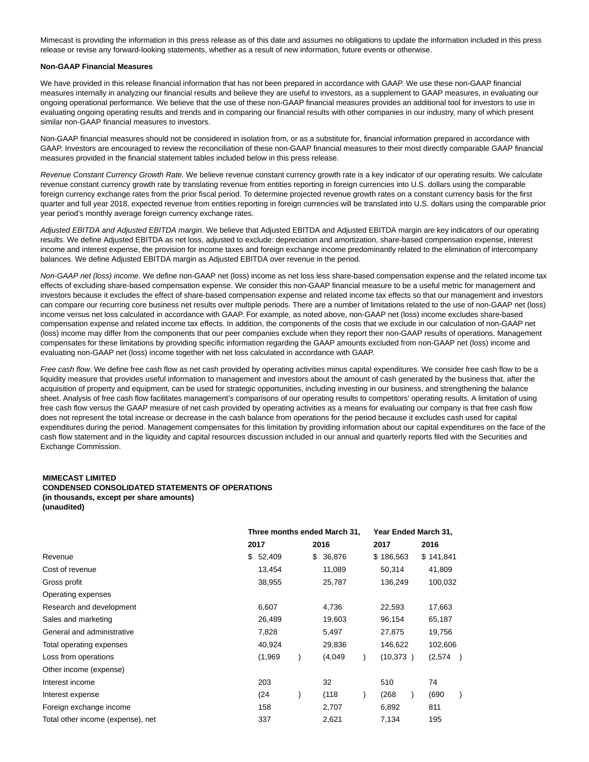Mimecast is providing the information in this press release as of this date and assumes no obligations to update the information included in this press release or revise any forward-looking statements, whether as a result of new information, future events or otherwise.

#### **Non-GAAP Financial Measures**

We have provided in this release financial information that has not been prepared in accordance with GAAP. We use these non-GAAP financial measures internally in analyzing our financial results and believe they are useful to investors, as a supplement to GAAP measures, in evaluating our ongoing operational performance. We believe that the use of these non-GAAP financial measures provides an additional tool for investors to use in evaluating ongoing operating results and trends and in comparing our financial results with other companies in our industry, many of which present similar non-GAAP financial measures to investors.

Non-GAAP financial measures should not be considered in isolation from, or as a substitute for, financial information prepared in accordance with GAAP. Investors are encouraged to review the reconciliation of these non-GAAP financial measures to their most directly comparable GAAP financial measures provided in the financial statement tables included below in this press release.

Revenue Constant Currency Growth Rate. We believe revenue constant currency growth rate is a key indicator of our operating results. We calculate revenue constant currency growth rate by translating revenue from entities reporting in foreign currencies into U.S. dollars using the comparable foreign currency exchange rates from the prior fiscal period. To determine projected revenue growth rates on a constant currency basis for the first quarter and full year 2018, expected revenue from entities reporting in foreign currencies will be translated into U.S. dollars using the comparable prior year period's monthly average foreign currency exchange rates.

Adjusted EBITDA and Adjusted EBITDA margin. We believe that Adjusted EBITDA and Adjusted EBITDA margin are key indicators of our operating results. We define Adjusted EBITDA as net loss, adjusted to exclude: depreciation and amortization, share-based compensation expense, interest income and interest expense, the provision for income taxes and foreign exchange income predominantly related to the elimination of intercompany balances. We define Adjusted EBITDA margin as Adjusted EBITDA over revenue in the period.

Non-GAAP net (loss) income. We define non-GAAP net (loss) income as net loss less share-based compensation expense and the related income tax effects of excluding share-based compensation expense. We consider this non-GAAP financial measure to be a useful metric for management and investors because it excludes the effect of share-based compensation expense and related income tax effects so that our management and investors can compare our recurring core business net results over multiple periods. There are a number of limitations related to the use of non-GAAP net (loss) income versus net loss calculated in accordance with GAAP. For example, as noted above, non-GAAP net (loss) income excludes share-based compensation expense and related income tax effects. In addition, the components of the costs that we exclude in our calculation of non-GAAP net (loss) income may differ from the components that our peer companies exclude when they report their non-GAAP results of operations. Management compensates for these limitations by providing specific information regarding the GAAP amounts excluded from non-GAAP net (loss) income and evaluating non-GAAP net (loss) income together with net loss calculated in accordance with GAAP.

Free cash flow. We define free cash flow as net cash provided by operating activities minus capital expenditures. We consider free cash flow to be a liquidity measure that provides useful information to management and investors about the amount of cash generated by the business that, after the acquisition of property and equipment, can be used for strategic opportunities, including investing in our business, and strengthening the balance sheet. Analysis of free cash flow facilitates management's comparisons of our operating results to competitors' operating results. A limitation of using free cash flow versus the GAAP measure of net cash provided by operating activities as a means for evaluating our company is that free cash flow does not represent the total increase or decrease in the cash balance from operations for the period because it excludes cash used for capital expenditures during the period. Management compensates for this limitation by providing information about our capital expenditures on the face of the cash flow statement and in the liquidity and capital resources discussion included in our annual and quarterly reports filed with the Securities and Exchange Commission.

#### **MIMECAST LIMITED**

**CONDENSED CONSOLIDATED STATEMENTS OF OPERATIONS (in thousands, except per share amounts) (unaudited)**

|                                   | Three months ended March 31, |  |              |  |           |  | Year Ended March 31, |  |  |  |  |
|-----------------------------------|------------------------------|--|--------------|--|-----------|--|----------------------|--|--|--|--|
|                                   | 2017                         |  | 2016         |  | 2017      |  | 2016                 |  |  |  |  |
| Revenue                           | \$52,409                     |  | 36,876<br>\$ |  | \$186,563 |  | \$141,841            |  |  |  |  |
| Cost of revenue                   | 13,454                       |  | 11,089       |  | 50,314    |  | 41,809               |  |  |  |  |
| Gross profit                      | 38,955                       |  | 25,787       |  | 136,249   |  | 100,032              |  |  |  |  |
| Operating expenses                |                              |  |              |  |           |  |                      |  |  |  |  |
| Research and development          | 6,607                        |  | 4,736        |  | 22,593    |  | 17,663               |  |  |  |  |
| Sales and marketing               | 26,489                       |  | 19,603       |  | 96,154    |  | 65,187               |  |  |  |  |
| General and administrative        | 7,828                        |  | 5,497        |  | 27,875    |  | 19,756               |  |  |  |  |
| Total operating expenses          | 40,924                       |  | 29,836       |  | 146,622   |  | 102,606              |  |  |  |  |
| Loss from operations              | (1,969)                      |  | (4,049)      |  | (10, 373) |  | (2,574)              |  |  |  |  |
| Other income (expense)            |                              |  |              |  |           |  |                      |  |  |  |  |
| Interest income                   | 203                          |  | 32           |  | 510       |  | 74                   |  |  |  |  |
| Interest expense                  | (24)                         |  | (118)        |  | (268      |  | (690)                |  |  |  |  |
| Foreign exchange income           | 158                          |  | 2,707        |  | 6,892     |  | 811                  |  |  |  |  |
| Total other income (expense), net | 337                          |  | 2,621        |  | 7,134     |  | 195                  |  |  |  |  |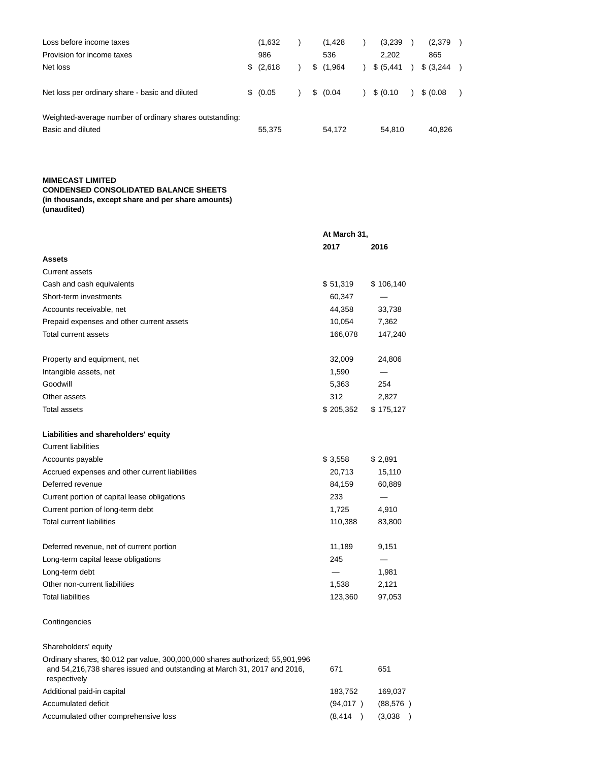| Loss before income taxes<br>Provision for income taxes  | (1,632)<br>986 |  | (1, 428)<br>536 | (3,239<br>2.202 | (2,379)<br>865 |  |
|---------------------------------------------------------|----------------|--|-----------------|-----------------|----------------|--|
| Net loss                                                | $$^{(2,618)}$  |  | \$(1,964)       | \$ (5,441)      | \$ (3.244)     |  |
| Net loss per ordinary share - basic and diluted         | \$ (0.05)      |  | $$^{(0.04)}$    | \$ (0.10)       | \$ (0.08)      |  |
| Weighted-average number of ordinary shares outstanding: |                |  |                 |                 |                |  |
| Basic and diluted                                       | 55.375         |  | 54,172          | 54.810          | 40.826         |  |

**MIMECAST LIMITED**

**CONDENSED CONSOLIDATED BALANCE SHEETS**

**(in thousands, except share and per share amounts)**

**(unaudited)**

|                                                | At March 31, |           |  |  |
|------------------------------------------------|--------------|-----------|--|--|
|                                                | 2017         | 2016      |  |  |
| <b>Assets</b>                                  |              |           |  |  |
| <b>Current assets</b>                          |              |           |  |  |
| Cash and cash equivalents                      | \$51,319     | \$106,140 |  |  |
| Short-term investments                         | 60,347       |           |  |  |
| Accounts receivable, net                       | 44,358       | 33,738    |  |  |
| Prepaid expenses and other current assets      | 10,054       | 7,362     |  |  |
| Total current assets                           | 166,078      | 147,240   |  |  |
| Property and equipment, net                    | 32,009       | 24,806    |  |  |
| Intangible assets, net                         | 1,590        |           |  |  |
| Goodwill                                       | 5,363        | 254       |  |  |
| Other assets                                   | 312          | 2,827     |  |  |
| Total assets                                   | \$205,352    | \$175,127 |  |  |
| Liabilities and shareholders' equity           |              |           |  |  |
| <b>Current liabilities</b>                     |              |           |  |  |
| Accounts payable                               | \$3,558      | \$2,891   |  |  |
| Accrued expenses and other current liabilities | 20,713       | 15,110    |  |  |
| Deferred revenue                               | 84,159       | 60,889    |  |  |
| Current portion of capital lease obligations   | 233          |           |  |  |
| Current portion of long-term debt              | 1,725        | 4,910     |  |  |
| <b>Total current liabilities</b>               | 110,388      | 83,800    |  |  |
| Deferred revenue, net of current portion       | 11,189       | 9,151     |  |  |
| Long-term capital lease obligations            | 245          |           |  |  |
| Long-term debt                                 |              | 1,981     |  |  |
| Other non-current liabilities                  | 1,538        | 2,121     |  |  |
| Total liabilities                              | 123,360      | 97,053    |  |  |
| Contingencies                                  |              |           |  |  |
| Shareholders' equity                           |              |           |  |  |

| Ordinary shares, \$0.012 par value, 300,000,000 shares authorized; 55,901,996 |          |          |
|-------------------------------------------------------------------------------|----------|----------|
| and 54,216,738 shares issued and outstanding at March 31, 2017 and 2016,      | 671      | 651      |
| respectively                                                                  |          |          |
| Additional paid-in capital                                                    | 183.752  | 169.037  |
| Accumulated deficit                                                           | (94.017  | (88,576) |
| Accumulated other comprehensive loss                                          | (8, 414) | (3,038)  |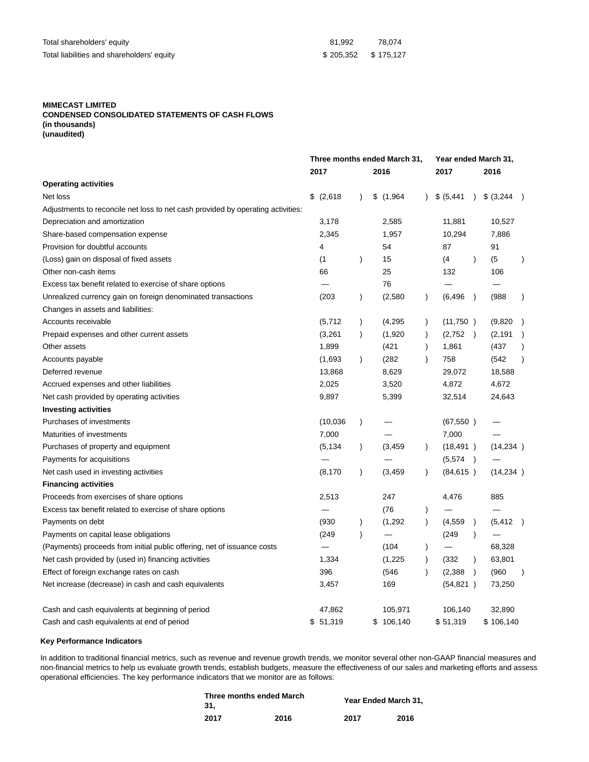| Total shareholders' equity                 | 81.992              | 78.074 |
|--------------------------------------------|---------------------|--------|
| Total liabilities and shareholders' equity | \$205.352 \$175.127 |        |

#### **MIMECAST LIMITED**

# **CONDENSED CONSOLIDATED STATEMENTS OF CASH FLOWS**

**(in thousands) (unaudited)**

**Three months ended March 31, Year ended March 31, 2017 2016 2017 2016 Operating activities** Net loss  $$ (2,618)$   $$ (1,964)$   $$ (5,441)$   $$ (3,244)$ Adjustments to reconcile net loss to net cash provided by operating activities: Depreciation and amortization 3,178 2,585 11,881 10,527 Share-based compensation expense 2008 2,345 1,957 10,294 7,886 Provision for doubtful accounts and the set of the set of the set of the set of the set of the set of the set of the set of the set of the set of the set of the set of the set of the set of the set of the set of the set of (Loss) gain on disposal of fixed assets (1 ) 15 (4 ) (5 ) Other non-cash items 66 25 132 106 Excess tax benefit related to exercise of share options  $\overline{\phantom{a}}$  76 Unrealized currency gain on foreign denominated transactions (203 ) (2,580 ) (6,496 ) (988 ) Changes in assets and liabilities: Accounts receivable (5,712 ) (4,295 ) (11,750 ) (9,820 ) Prepaid expenses and other current assets (3,261 ) (1,920 ) (2,752 ) (2,191 ) Other assets 1,899 (421 ) 1,861 (437 ) Accounts payable (1,693 ) (282 ) 758 (542 ) Deferred revenue 13,868 8,629 29,072 18,588 Accrued expenses and other liabilities and the liabilities and the state of the state of the state of the state of the state of the state of the state of the state of the state of the state of the state of the state of the Net cash provided by operating activities and the state of the state of the state 9,897 5,399 32,514 24,643 **Investing activities** Purchases of investments and the control of the control of the control of the control of the control of the control of the control of the control of the control of the control of the control of the control of the control o Maturities of investments and the control of the control of the control of the control of the control of the control of the control of the control of the control of the control of the control of the control of the control Purchases of property and equipment (5,134 ) (3,459 ) (18,491 ) (14,234 ) Payments for acquisitions and the contract of the contract of the contract of the contract of the contract of the contract of the contract of the contract of the contract of the contract of the contract of the contract of Net cash used in investing activities (8,170 ) (3,459 ) (84,615 ) (14,234 ) **Financing activities** Proceeds from exercises of share options and the control of the control of the 2,513 247 4,476 885 Excess tax benefit related to exercise of share options  $-$  (76 ) Payments on debt (930 ) (1,292 ) (4,559 ) (5,412 ) Payments on capital lease obligations (249 ) (249 ) (249 ) (249 ) (Payments) proceeds from initial public offering, net of issuance costs  $-$  (104)  $-$  68,328 Net cash provided by (used in) financing activities 1,334 (1,225 ) (332 ) 63,801 Effect of foreign exchange rates on cash 396 (546 ) (2,388 ) (960 ) Net increase (decrease) in cash and cash equivalents 3,457 169 (54,821) 73,250 Cash and cash equivalents at beginning of period  $47,862$   $47,862$   $105,971$   $106,140$   $32,890$ Cash and cash equivalents at end of period  $$51,319$   $$106,140$   $$51,319$   $$106,140$ 

#### **Key Performance Indicators**

In addition to traditional financial metrics, such as revenue and revenue growth trends, we monitor several other non-GAAP financial measures and non-financial metrics to help us evaluate growth trends, establish budgets, measure the effectiveness of our sales and marketing efforts and assess operational efficiencies. The key performance indicators that we monitor are as follows:

| 31.  | Three months ended March |      | Year Ended March 31. |
|------|--------------------------|------|----------------------|
| 2017 | 2016                     | 2017 | 2016                 |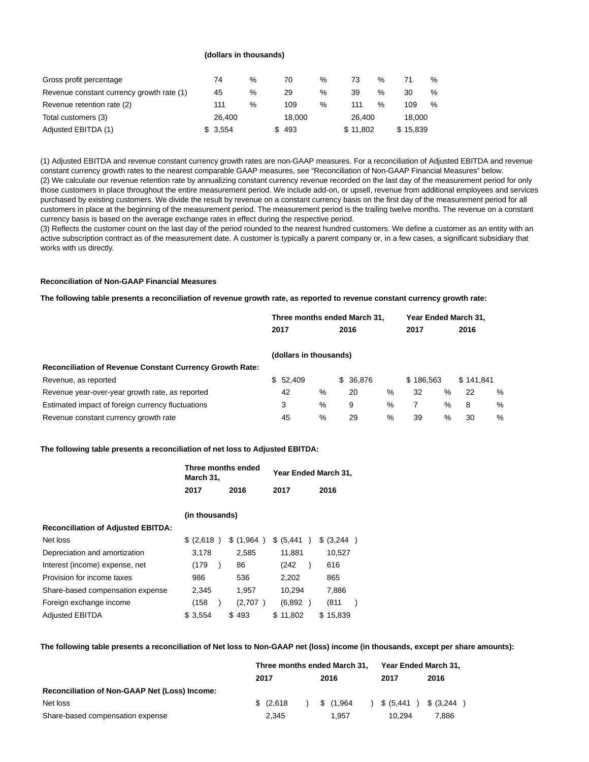#### **(dollars in thousands)**

| Gross profit percentage                   | 74      | $\frac{0}{0}$ | 70     | % | 73       | %    |     |          | %    |
|-------------------------------------------|---------|---------------|--------|---|----------|------|-----|----------|------|
| Revenue constant currency growth rate (1) | 45      | %             | 29     | % | 39       | %    | 30  |          | %    |
| Revenue retention rate (2)                | 111     | $\frac{0}{0}$ | 109    | % | 111      | $\%$ | 109 |          | $\%$ |
| Total customers (3)                       | 26.400  |               | 18.000 |   | 26.400   |      |     | 18.000   |      |
| Adjusted EBITDA (1)                       | \$3.554 |               | \$493  |   | \$11.802 |      |     | \$15,839 |      |

(1) Adjusted EBITDA and revenue constant currency growth rates are non-GAAP measures. For a reconciliation of Adjusted EBITDA and revenue constant currency growth rates to the nearest comparable GAAP measures, see "Reconciliation of Non-GAAP Financial Measures" below. (2) We calculate our revenue retention rate by annualizing constant currency revenue recorded on the last day of the measurement period for only those customers in place throughout the entire measurement period. We include add-on, or upsell, revenue from additional employees and services purchased by existing customers. We divide the result by revenue on a constant currency basis on the first day of the measurement period for all customers in place at the beginning of the measurement period. The measurement period is the trailing twelve months. The revenue on a constant currency basis is based on the average exchange rates in effect during the respective period.

(3) Reflects the customer count on the last day of the period rounded to the nearest hundred customers. We define a customer as an entity with an active subscription contract as of the measurement date. A customer is typically a parent company or, in a few cases, a significant subsidiary that works with us directly.

#### **Reconciliation of Non-GAAP Financial Measures**

**The following table presents a reconciliation of revenue growth rate, as reported to revenue constant currency growth rate:**

|                                                                 | Three months ended March 31, |   |           |   | Year Ended March 31, |      |           |               |  |  |  |
|-----------------------------------------------------------------|------------------------------|---|-----------|---|----------------------|------|-----------|---------------|--|--|--|
|                                                                 | 2017                         |   | 2016      |   | 2017                 |      | 2016      |               |  |  |  |
|                                                                 | (dollars in thousands)       |   |           |   |                      |      |           |               |  |  |  |
| <b>Reconciliation of Revenue Constant Currency Growth Rate:</b> |                              |   |           |   |                      |      |           |               |  |  |  |
| Revenue, as reported                                            | \$52,409                     |   | \$ 36,876 |   | \$186.563            |      | \$141.841 |               |  |  |  |
| Revenue year-over-year growth rate, as reported                 | 42                           | % | 20        | % | 32                   | %    | 22        | $\frac{0}{c}$ |  |  |  |
| Estimated impact of foreign currency fluctuations               | 3                            | % | 9         | % |                      | $\%$ | 8         | $\frac{0}{c}$ |  |  |  |
| Revenue constant currency growth rate                           | 45                           | % | 29        | % | 39                   | %    | 30        | $\frac{0}{c}$ |  |  |  |

#### **The following table presents a reconciliation of net loss to Adjusted EBITDA:**

|                                           | March 31,      | Three months ended | Year Ended March 31, |            |  |  |
|-------------------------------------------|----------------|--------------------|----------------------|------------|--|--|
|                                           | 2017           | 2017               | 2016                 |            |  |  |
|                                           | (in thousands) |                    |                      |            |  |  |
| <b>Reconciliation of Adjusted EBITDA:</b> |                |                    |                      |            |  |  |
| Net loss                                  | \$(2,618)      | \$(1,964)          | \$ (5,441)           | \$ (3,244) |  |  |
| Depreciation and amortization             | 3,178          | 2,585              | 11,881               | 10,527     |  |  |
| Interest (income) expense, net            | (179           | 86                 | (242)                | 616        |  |  |
| Provision for income taxes                | 986            | 536                | 2,202                | 865        |  |  |
| Share-based compensation expense          | 2,345          | 1,957              | 10,294               | 7,886      |  |  |
| Foreign exchange income                   | (158           | (2,707)            | (6.892               | (811       |  |  |

Adjusted EBITDA \$ 3,554 \$ 493 \$ 11,802 \$ 15,839

**The following table presents a reconciliation of Net loss to Non-GAAP net (loss) income (in thousands, except per share amounts):**

|                                               | Three months ended March 31, |               |  |  |           | Year Ended March 31. |                                      |  |       |  |
|-----------------------------------------------|------------------------------|---------------|--|--|-----------|----------------------|--------------------------------------|--|-------|--|
|                                               | 2017                         |               |  |  | 2016      |                      | 2017                                 |  | 2016  |  |
| Reconciliation of Non-GAAP Net (Loss) Income: |                              |               |  |  |           |                      |                                      |  |       |  |
| Net loss                                      |                              | $$^{(2.618)}$ |  |  | \$ (1.964 |                      | $\binom{1}{2}$ \$ (5.441) \$ (3.244) |  |       |  |
| Share-based compensation expense              |                              | 2.345         |  |  | 1.957     |                      | 10.294                               |  | 7.886 |  |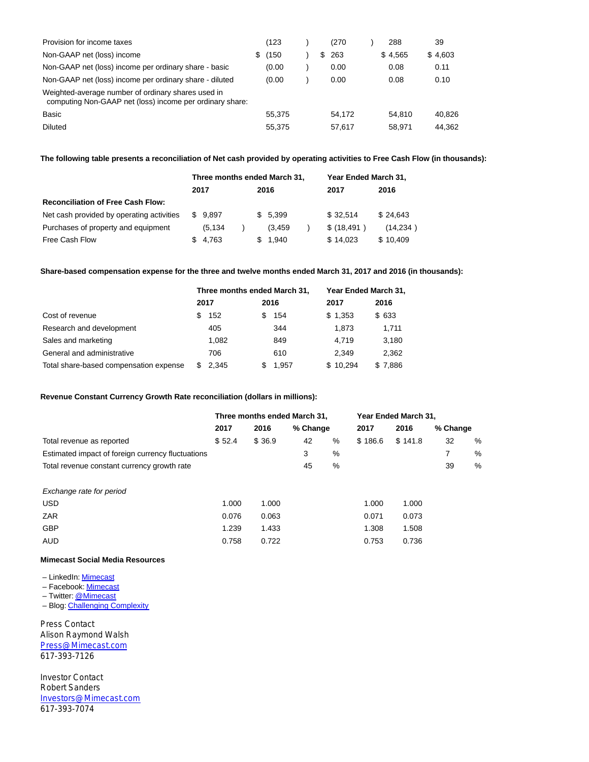| Provision for income taxes                                                                                     | (123        |    | (270)  | 288     | 39      |
|----------------------------------------------------------------------------------------------------------------|-------------|----|--------|---------|---------|
| Non-GAAP net (loss) income                                                                                     | \$<br>(150) | \$ | 263    | \$4.565 | \$4,603 |
| Non-GAAP net (loss) income per ordinary share - basic                                                          | (0.00)      |    | 0.00   | 0.08    | 0.11    |
| Non-GAAP net (loss) income per ordinary share - diluted                                                        | (0.00)      |    | 0.00   | 0.08    | 0.10    |
| Weighted-average number of ordinary shares used in<br>computing Non-GAAP net (loss) income per ordinary share: |             |    |        |         |         |
| Basic                                                                                                          | 55.375      |    | 54.172 | 54.810  | 40.826  |
| <b>Diluted</b>                                                                                                 | 55,375      |    | 57.617 | 58.971  | 44,362  |

**The following table presents a reconciliation of Net cash provided by operating activities to Free Cash Flow (in thousands):**

|                                           |    | Three months ended March 31, |     | Year Ended March 31, |  |              |           |  |
|-------------------------------------------|----|------------------------------|-----|----------------------|--|--------------|-----------|--|
|                                           |    | 2017                         |     | 2016                 |  | 2017         | 2016      |  |
| <b>Reconciliation of Free Cash Flow:</b>  |    |                              |     |                      |  |              |           |  |
| Net cash provided by operating activities | S. | 9.897                        |     | \$5.399              |  | \$32.514     | \$24.643  |  |
| Purchases of property and equipment       |    | (5.134)                      |     | (3.459)              |  | \$ (18, 491) | (14, 234) |  |
| Free Cash Flow                            |    | 4.763                        | SS. | 1.940                |  | \$14.023     | \$10,409  |  |

**Share-based compensation expense for the three and twelve months ended March 31, 2017 and 2016 (in thousands):**

|                                        | Three months ended March 31, |       |      |       | Year Ended March 31, |          |      |         |
|----------------------------------------|------------------------------|-------|------|-------|----------------------|----------|------|---------|
|                                        | 2017                         |       | 2016 |       |                      | 2017     | 2016 |         |
| Cost of revenue                        |                              | \$152 | \$.  | 154   |                      | \$1,353  |      | \$ 633  |
| Research and development               |                              | 405   |      | 344   |                      | 1.873    |      | 1.711   |
| Sales and marketing                    |                              | 1,082 |      | 849   |                      | 4.719    |      | 3,180   |
| General and administrative             |                              | 706   |      | 610   |                      | 2.349    |      | 2,362   |
| Total share-based compensation expense |                              | 2,345 |      | 1.957 |                      | \$10.294 |      | \$7,886 |

**Revenue Constant Currency Growth Rate reconciliation (dollars in millions):**

|                                                   |        |                | Three months ended March 31, |   | Year Ended March 31. |         |          |   |  |
|---------------------------------------------------|--------|----------------|------------------------------|---|----------------------|---------|----------|---|--|
| Total revenue as reported                         | 2017   | 2016<br>\$36.9 | % Change                     |   | 2017                 | 2016    | % Change |   |  |
|                                                   | \$52.4 |                | 42                           | % | \$186.6              | \$141.8 | 32       | % |  |
| Estimated impact of foreign currency fluctuations |        |                | 3                            | % |                      |         | 7        | % |  |
| Total revenue constant currency growth rate       |        |                | 45                           | % |                      |         | 39       | % |  |
| Exchange rate for period                          |        |                |                              |   |                      |         |          |   |  |
| <b>USD</b>                                        | 1.000  | 1.000          |                              |   | 1.000                | 1.000   |          |   |  |
| <b>ZAR</b>                                        | 0.076  | 0.063          |                              |   | 0.071                | 0.073   |          |   |  |
| <b>GBP</b>                                        | 1.239  | 1.433          |                              |   | 1.308                | 1.508   |          |   |  |
| <b>AUD</b>                                        | 0.758  | 0.722          |                              |   | 0.753                | 0.736   |          |   |  |

#### **Mimecast Social Media Resources**

– LinkedIn[: Mimecast](https://www.globenewswire.com/Tracker?data=jOc0whOHU62GUCLip9TzElaQyFBaTlN3pQlyVtzZ34tkDD_yfgETCLyNCYQ5dAGK2500cmW4Vvq4fFhw0qxVVd-qsdxV6RJp0q25azDBNGM=)

– Facebook[: Mimecast](https://www.globenewswire.com/Tracker?data=jOc0whOHU62GUCLip9TzErYcffWsfHIUXvDdqD7N42k7-avTDPX1U3dsbwYru1N5c5FZWo2YhylQOBdEbm7-8CeI98dx6TCxwrtrKd9obSo=)

– Twitter[: @Mimecast](https://www.globenewswire.com/Tracker?data=xtn8lUY6ojzUF8yIG3cRlQZTNQr1Z2zClpJltiypyCfWNKnAYxM1m2U1TB08PjdfLvj7Zn015cnQw9dUkwT1dw==)

– Blog[: Challenging Complexity](https://www.globenewswire.com/Tracker?data=AV-omMhaQlql3VC7NHP5-907Mn5OwaDBxT4EGNbDNzVT9ecsCHp05rSO0gtMcR7Kf7cpivDBEpxhH612CMJ_d86dl2P1KoblwOEyiR_Ti54=)

Press Contact Alison Raymond Walsh [Press@Mimecast.com](mailto:Press@Mimecast.com) 617-393-7126

Investor Contact Robert Sanders [Investors@Mimecast.com](mailto:Investors@Mimecast.com) 617-393-7074